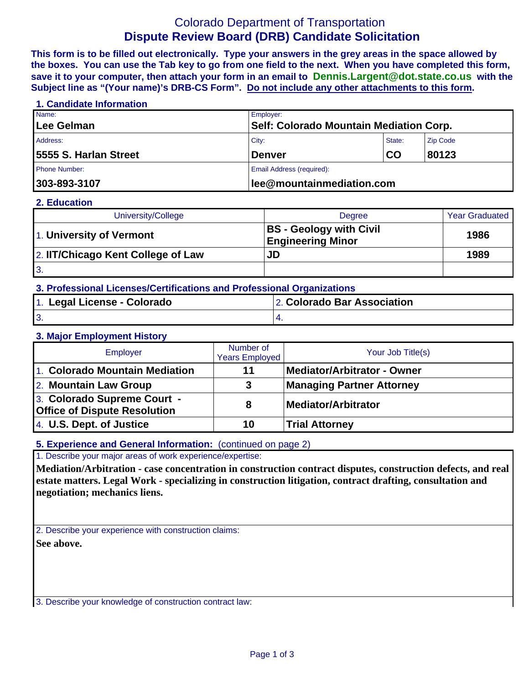# Colorado Department of Transportation **Dispute Review Board (DRB) Candidate Solicitation**

**This form is to be filled out electronically. Type your answers in the grey areas in the space allowed by the boxes. You can use the Tab key to go from one field to the next. When you have completed this form, save it to your computer, then attach your form in an email to Dennis.Largent@dot.state.co.us with the Subject line as "(Your name)'s DRB-CS Form". Do not include any other attachments to this form.**

## **1. Candidate Information**  Name: Employer: **Lee Gelman Self: Colorado Mountain Mediation Corp.**  Address: Zip Code (2008) 2014 12:30 No. 2014 2015 2016 2017 2018 2019 2020 2021 2021 2022 2020 2020 2021 2021 20 **5555 S. Harlan Street Denver CO 80123**  Phone Number: **Email Address (required): Email Address (required): 303-893-3107 lee@mountainmediation.com**

#### **2. Education**

| University/College                 | <b>Degree</b>                                              | <b>Year Graduated</b> |
|------------------------------------|------------------------------------------------------------|-----------------------|
| 1. University of Vermont           | <b>BS</b> - Geology with Civil<br><b>Engineering Minor</b> | 1986                  |
| 2. IIT/Chicago Kent College of Law | JD                                                         | 1989                  |
| <b>3.</b>                          |                                                            |                       |

## **3. Professional Licenses/Certifications and Professional Organizations**

| 1. Legal License - Colorado | 2. Colorado Bar Association |
|-----------------------------|-----------------------------|
| J.                          |                             |

#### **3. Major Employment History**

| Employer                                                           | Number of<br><b>Years Employed</b> | Your Job Title(s)                  |  |
|--------------------------------------------------------------------|------------------------------------|------------------------------------|--|
| 1. Colorado Mountain Mediation                                     | 11                                 | <b>Mediator/Arbitrator - Owner</b> |  |
| 2. Mountain Law Group                                              | 3                                  | <b>Managing Partner Attorney</b>   |  |
| 3. Colorado Supreme Court -<br><b>Office of Dispute Resolution</b> | 8                                  | Mediator/Arbitrator                |  |
| 4. U.S. Dept. of Justice                                           | 10                                 | <b>Trial Attorney</b>              |  |

## **5. Experience and General Information:** (continued on page 2)

1. Describe your major areas of work experience/expertise:

**Mediation/Arbitration - case concentration in construction contract disputes, construction defects, and real estate matters. Legal Work - specializing in construction litigation, contract drafting, consultation and negotiation; mechanics liens.**

2. Describe your experience with construction claims: **See above.**

3. Describe your knowledge of construction contract law: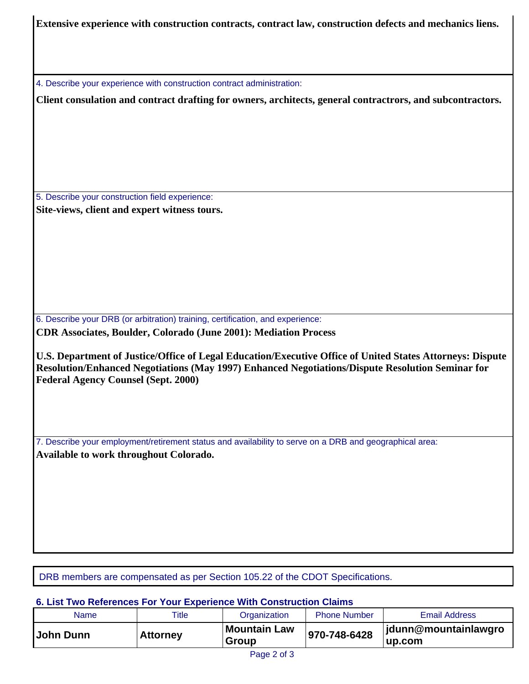**Extensive experience with construction contracts, contract law, construction defects and mechanics liens.**

4. Describe your experience with construction contract administration:

**Client consulation and contract drafting for owners, architects, general contractrors, and subcontractors.**

5. Describe your construction field experience: **Site-views, client and expert witness tours.**

6. Describe your DRB (or arbitration) training, certification, and experience: **CDR Associates, Boulder, Colorado (June 2001): Mediation Process** 

**U.S. Department of Justice/Office of Legal Education/Executive Office of United States Attorneys: Dispute Resolution/Enhanced Negotiations (May 1997) Enhanced Negotiations/Dispute Resolution Seminar for Federal Agency Counsel (Sept. 2000)** 

7. Describe your employment/retirement status and availability to serve on a DRB and geographical area: **Available to work throughout Colorado.**

DRB members are compensated as per Section 105.22 of the CDOT Specifications.

#### **6. List Two References For Your Experience With Construction Claims**

| Name      | Title           | Organization                 | <b>Phone Number</b> | <b>Email Address</b>           |
|-----------|-----------------|------------------------------|---------------------|--------------------------------|
| John Dunn | <b>Attorney</b> | <b>Mountain Law</b><br>Group | 970-748-6428        | jdunn@mountainlawgro<br>up.com |